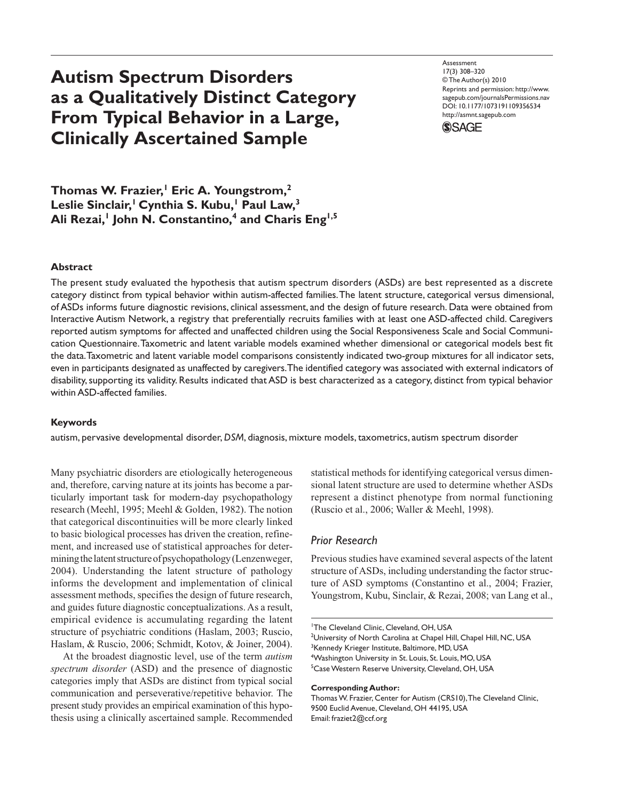# **Autism Spectrum Disorders as a Qualitatively Distinct Category From Typical Behavior in a Large, Clinically Ascertained Sample**

Assessment 17(3) 308–320 © The Author(s) 2010 Reprints and permission: http://www. sagepub.com/journalsPermissions.nav DOI: 10.1177/1073191109356534 http://asmnt.sagepub.com



**Thomas W. Frazier,1 Eric A. Youngstrom,2 Leslie Sinclair,1 Cynthia S. Kubu,1 Paul Law,3 Ali Rezai,1 John N. Constantino,4 and Charis Eng1,5**

## **Abstract**

The present study evaluated the hypothesis that autism spectrum disorders (ASDs) are best represented as a discrete category distinct from typical behavior within autism-affected families. The latent structure, categorical versus dimensional, of ASDs informs future diagnostic revisions, clinical assessment, and the design of future research. Data were obtained from Interactive Autism Network, a registry that preferentially recruits families with at least one ASD-affected child. Caregivers reported autism symptoms for affected and unaffected children using the Social Responsiveness Scale and Social Communication Questionnaire. Taxometric and latent variable models examined whether dimensional or categorical models best fit the data. Taxometric and latent variable model comparisons consistently indicated two-group mixtures for all indicator sets, even in participants designated as unaffected by caregivers. The identified category was associated with external indicators of disability, supporting its validity. Results indicated that ASD is best characterized as a category, distinct from typical behavior within ASD-affected families.

## **Keywords**

autism, pervasive developmental disorder, *DSM*, diagnosis, mixture models, taxometrics, autism spectrum disorder

Many psychiatric disorders are etiologically heterogeneous and, therefore, carving nature at its joints has become a particularly important task for modern-day psychopathology research (Meehl, 1995; Meehl & Golden, 1982). The notion that categorical discontinuities will be more clearly linked to basic biological processes has driven the creation, refinement, and increased use of statistical approaches for determining the latent structure of psychopathology (Lenzenweger, 2004). Understanding the latent structure of pathology informs the development and implementation of clinical assessment methods, specifies the design of future research, and guides future diagnostic conceptualizations. As a result, empirical evidence is accumulating regarding the latent structure of psychiatric conditions (Haslam, 2003; Ruscio, Haslam, & Ruscio, 2006; Schmidt, Kotov, & Joiner, 2004).

At the broadest diagnostic level, use of the term *autism spectrum disorder* (ASD) and the presence of diagnostic categories imply that ASDs are distinct from typical social communication and perseverative/repetitive behavior. The present study provides an empirical examination of this hypothesis using a clinically ascertained sample. Recommended statistical methods for identifying categorical versus dimensional latent structure are used to determine whether ASDs represent a distinct phenotype from normal functioning (Ruscio et al., 2006; Waller & Meehl, 1998).

# *Prior Research*

Previous studies have examined several aspects of the latent structure of ASDs, including understanding the factor structure of ASD symptoms (Constantino et al., 2004; Frazier, Youngstrom, Kubu, Sinclair, & Rezai, 2008; van Lang et al.,

#### **Corresponding Author:**

<sup>1</sup> The Cleveland Clinic, Cleveland, OH, USA

<sup>&</sup>lt;sup>2</sup>University of North Carolina at Chapel Hill, Chapel Hill, NC, USA <sup>3</sup>Kennedy Krieger Institute, Baltimore, MD, USA 4 Washington University in St. Louis, St. Louis, MO, USA

<sup>5</sup> Case Western Reserve University, Cleveland, OH, USA

Thomas W. Frazier, Center for Autism (CRS10), The Cleveland Clinic, 9500 Euclid Avenue, Cleveland, OH 44195, USA Email: fraziet2@ccf.org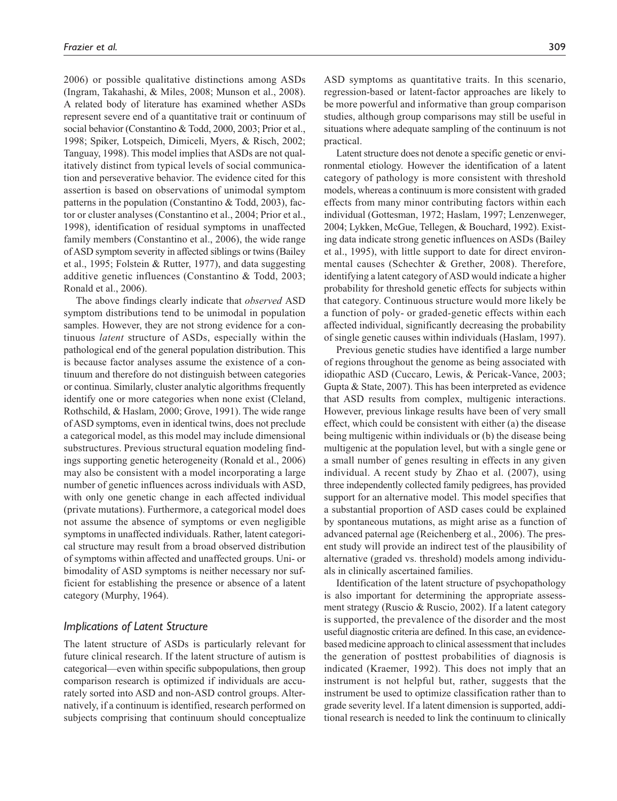2006) or possible qualitative distinctions among ASDs (Ingram, Takahashi, & Miles, 2008; Munson et al., 2008). A related body of literature has examined whether ASDs represent severe end of a quantitative trait or continuum of social behavior (Constantino & Todd, 2000, 2003; Prior et al., 1998; Spiker, Lotspeich, Dimiceli, Myers, & Risch, 2002; Tanguay, 1998). This model implies that ASDs are not qualitatively distinct from typical levels of social communication and perseverative behavior. The evidence cited for this assertion is based on observations of unimodal symptom patterns in the population (Constantino & Todd, 2003), factor or cluster analyses (Constantino et al., 2004; Prior et al., 1998), identification of residual symptoms in unaffected family members (Constantino et al., 2006), the wide range of ASD symptom severity in affected siblings or twins (Bailey et al., 1995; Folstein & Rutter, 1977), and data suggesting additive genetic influences (Constantino & Todd, 2003; Ronald et al., 2006).

The above findings clearly indicate that *observed* ASD symptom distributions tend to be unimodal in population samples. However, they are not strong evidence for a continuous *latent* structure of ASDs, especially within the pathological end of the general population distribution. This is because factor analyses assume the existence of a continuum and therefore do not distinguish between categories or continua. Similarly, cluster analytic algorithms frequently identify one or more categories when none exist (Cleland, Rothschild, & Haslam, 2000; Grove, 1991). The wide range of ASD symptoms, even in identical twins, does not preclude a categorical model, as this model may include dimensional substructures. Previous structural equation modeling findings supporting genetic heterogeneity (Ronald et al., 2006) may also be consistent with a model incorporating a large number of genetic influences across individuals with ASD, with only one genetic change in each affected individual (private mutations). Furthermore, a categorical model does not assume the absence of symptoms or even negligible symptoms in unaffected individuals. Rather, latent categorical structure may result from a broad observed distribution of symptoms within affected and unaffected groups. Uni- or bimodality of ASD symptoms is neither necessary nor sufficient for establishing the presence or absence of a latent category (Murphy, 1964).

# *Implications of Latent Structure*

The latent structure of ASDs is particularly relevant for future clinical research. If the latent structure of autism is categorical—even within specific subpopulations, then group comparison research is optimized if individuals are accurately sorted into ASD and non-ASD control groups. Alternatively, if a continuum is identified, research performed on subjects comprising that continuum should conceptualize ASD symptoms as quantitative traits. In this scenario, regression-based or latent-factor approaches are likely to be more powerful and informative than group comparison studies, although group comparisons may still be useful in situations where adequate sampling of the continuum is not practical.

Latent structure does not denote a specific genetic or environmental etiology. However the identification of a latent category of pathology is more consistent with threshold models, whereas a continuum is more consistent with graded effects from many minor contributing factors within each individual (Gottesman, 1972; Haslam, 1997; Lenzenweger, 2004; Lykken, McGue, Tellegen, & Bouchard, 1992). Existing data indicate strong genetic influences on ASDs (Bailey et al., 1995), with little support to date for direct environmental causes (Schechter & Grether, 2008). Therefore, identifying a latent category of ASD would indicate a higher probability for threshold genetic effects for subjects within that category. Continuous structure would more likely be a function of poly- or graded-genetic effects within each affected individual, significantly decreasing the probability of single genetic causes within individuals (Haslam, 1997).

Previous genetic studies have identified a large number of regions throughout the genome as being associated with idiopathic ASD (Cuccaro, Lewis, & Pericak-Vance, 2003; Gupta & State, 2007). This has been interpreted as evidence that ASD results from complex, multigenic interactions. However, previous linkage results have been of very small effect, which could be consistent with either (a) the disease being multigenic within individuals or (b) the disease being multigenic at the population level, but with a single gene or a small number of genes resulting in effects in any given individual. A recent study by Zhao et al. (2007), using three independently collected family pedigrees, has provided support for an alternative model. This model specifies that a substantial proportion of ASD cases could be explained by spontaneous mutations, as might arise as a function of advanced paternal age (Reichenberg et al., 2006). The present study will provide an indirect test of the plausibility of alternative (graded vs. threshold) models among individuals in clinically ascertained families.

Identification of the latent structure of psychopathology is also important for determining the appropriate assessment strategy (Ruscio & Ruscio, 2002). If a latent category is supported, the prevalence of the disorder and the most useful diagnostic criteria are defined. In this case, an evidencebased medicine approach to clinical assessment that includes the generation of posttest probabilities of diagnosis is indicated (Kraemer, 1992). This does not imply that an instrument is not helpful but, rather, suggests that the instrument be used to optimize classification rather than to grade severity level. If a latent dimension is supported, additional research is needed to link the continuum to clinically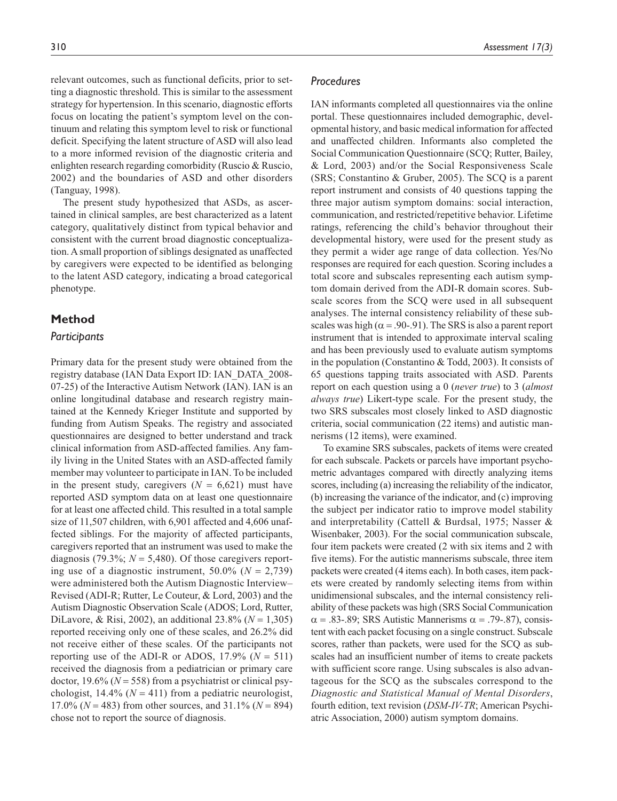relevant outcomes, such as functional deficits, prior to setting a diagnostic threshold. This is similar to the assessment strategy for hypertension. In this scenario, diagnostic efforts focus on locating the patient's symptom level on the continuum and relating this symptom level to risk or functional deficit. Specifying the latent structure of ASD will also lead to a more informed revision of the diagnostic criteria and enlighten research regarding comorbidity (Ruscio & Ruscio, 2002) and the boundaries of ASD and other disorders (Tanguay, 1998).

The present study hypothesized that ASDs, as ascertained in clinical samples, are best characterized as a latent category, qualitatively distinct from typical behavior and consistent with the current broad diagnostic conceptualization. A small proportion of siblings designated as unaffected by caregivers were expected to be identified as belonging to the latent ASD category, indicating a broad categorical phenotype.

# **Method**

# *Participants*

Primary data for the present study were obtained from the registry database (IAN Data Export ID: IAN\_DATA\_2008- 07-25) of the Interactive Autism Network (IAN). IAN is an online longitudinal database and research registry maintained at the Kennedy Krieger Institute and supported by funding from Autism Speaks. The registry and associated questionnaires are designed to better understand and track clinical information from ASD-affected families. Any family living in the United States with an ASD-affected family member may volunteer to participate in IAN. To be included in the present study, caregivers  $(N = 6,621)$  must have reported ASD symptom data on at least one questionnaire for at least one affected child. This resulted in a total sample size of 11,507 children, with 6,901 affected and 4,606 unaffected siblings. For the majority of affected participants, caregivers reported that an instrument was used to make the diagnosis (79.3%;  $N = 5,480$ ). Of those caregivers reporting use of a diagnostic instrument,  $50.0\%$  ( $N = 2,739$ ) were administered both the Autism Diagnostic Interview– Revised (ADI-R; Rutter, Le Couteur, & Lord, 2003) and the Autism Diagnostic Observation Scale (ADOS; Lord, Rutter, DiLavore, & Risi, 2002), an additional 23.8% (*N* = 1,305) reported receiving only one of these scales, and 26.2% did not receive either of these scales. Of the participants not reporting use of the ADI-R or ADOS,  $17.9\%$  ( $N = 511$ ) received the diagnosis from a pediatrician or primary care doctor, 19.6% (*N* = 558) from a psychiatrist or clinical psychologist,  $14.4\%$  ( $N = 411$ ) from a pediatric neurologist, 17.0% (*N* = 483) from other sources, and 31.1% (*N* = 894) chose not to report the source of diagnosis.

## *Procedures*

IAN informants completed all questionnaires via the online portal. These questionnaires included demographic, developmental history, and basic medical information for affected and unaffected children. Informants also completed the Social Communication Questionnaire (SCQ; Rutter, Bailey, & Lord, 2003) and/or the Social Responsiveness Scale (SRS; Constantino & Gruber, 2005). The SCQ is a parent report instrument and consists of 40 questions tapping the three major autism symptom domains: social interaction, communication, and restricted/repetitive behavior. Lifetime ratings, referencing the child's behavior throughout their developmental history, were used for the present study as they permit a wider age range of data collection. Yes/No responses are required for each question. Scoring includes a total score and subscales representing each autism symptom domain derived from the ADI-R domain scores. Subscale scores from the SCQ were used in all subsequent analyses. The internal consistency reliability of these subscales was high ( $\alpha$  = .90-.91). The SRS is also a parent report instrument that is intended to approximate interval scaling and has been previously used to evaluate autism symptoms in the population (Constantino & Todd, 2003). It consists of 65 questions tapping traits associated with ASD. Parents report on each question using a 0 (*never true*) to 3 (*almost always true*) Likert-type scale. For the present study, the two SRS subscales most closely linked to ASD diagnostic criteria, social communication (22 items) and autistic mannerisms (12 items), were examined.

To examine SRS subscales, packets of items were created for each subscale. Packets or parcels have important psychometric advantages compared with directly analyzing items scores, including (a) increasing the reliability of the indicator, (b) increasing the variance of the indicator, and (c) improving the subject per indicator ratio to improve model stability and interpretability (Cattell & Burdsal, 1975; Nasser & Wisenbaker, 2003). For the social communication subscale, four item packets were created (2 with six items and 2 with five items). For the autistic mannerisms subscale, three item packets were created (4 items each). In both cases, item packets were created by randomly selecting items from within unidimensional subscales, and the internal consistency reliability of these packets was high (SRS Social Communication  $\alpha = .83-.89$ ; SRS Autistic Mannerisms  $\alpha = .79-.87$ ), consistent with each packet focusing on a single construct. Subscale scores, rather than packets, were used for the SCQ as subscales had an insufficient number of items to create packets with sufficient score range. Using subscales is also advantageous for the SCQ as the subscales correspond to the *Diagnostic and Statistical Manual of Mental Disorders*, fourth edition, text revision (*DSM-IV-TR*; American Psychiatric Association, 2000) autism symptom domains.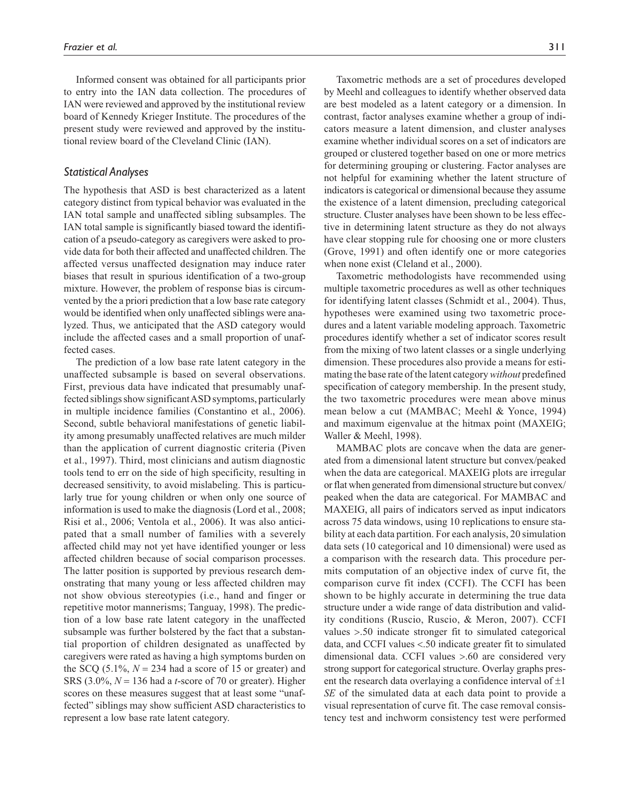Informed consent was obtained for all participants prior to entry into the IAN data collection. The procedures of IAN were reviewed and approved by the institutional review board of Kennedy Krieger Institute. The procedures of the present study were reviewed and approved by the institutional review board of the Cleveland Clinic (IAN).

#### *Statistical Analyses*

The hypothesis that ASD is best characterized as a latent category distinct from typical behavior was evaluated in the IAN total sample and unaffected sibling subsamples. The IAN total sample is significantly biased toward the identification of a pseudo-category as caregivers were asked to provide data for both their affected and unaffected children. The affected versus unaffected designation may induce rater biases that result in spurious identification of a two-group mixture. However, the problem of response bias is circumvented by the a priori prediction that a low base rate category would be identified when only unaffected siblings were analyzed. Thus, we anticipated that the ASD category would include the affected cases and a small proportion of unaffected cases.

The prediction of a low base rate latent category in the unaffected subsample is based on several observations. First, previous data have indicated that presumably unaffected siblings show significant ASD symptoms, particularly in multiple incidence families (Constantino et al., 2006). Second, subtle behavioral manifestations of genetic liability among presumably unaffected relatives are much milder than the application of current diagnostic criteria (Piven et al., 1997). Third, most clinicians and autism diagnostic tools tend to err on the side of high specificity, resulting in decreased sensitivity, to avoid mislabeling. This is particularly true for young children or when only one source of information is used to make the diagnosis (Lord et al., 2008; Risi et al., 2006; Ventola et al., 2006). It was also anticipated that a small number of families with a severely affected child may not yet have identified younger or less affected children because of social comparison processes. The latter position is supported by previous research demonstrating that many young or less affected children may not show obvious stereotypies (i.e., hand and finger or repetitive motor mannerisms; Tanguay, 1998). The prediction of a low base rate latent category in the unaffected subsample was further bolstered by the fact that a substantial proportion of children designated as unaffected by caregivers were rated as having a high symptoms burden on the SCQ  $(5.1\%, N = 234 \text{ had a score of } 15 \text{ or greater})$  and SRS (3.0%, *N* = 136 had a *t*-score of 70 or greater). Higher scores on these measures suggest that at least some "unaffected" siblings may show sufficient ASD characteristics to represent a low base rate latent category.

Taxometric methods are a set of procedures developed by Meehl and colleagues to identify whether observed data are best modeled as a latent category or a dimension. In contrast, factor analyses examine whether a group of indicators measure a latent dimension, and cluster analyses examine whether individual scores on a set of indicators are grouped or clustered together based on one or more metrics for determining grouping or clustering. Factor analyses are not helpful for examining whether the latent structure of indicators is categorical or dimensional because they assume the existence of a latent dimension, precluding categorical structure. Cluster analyses have been shown to be less effective in determining latent structure as they do not always have clear stopping rule for choosing one or more clusters (Grove, 1991) and often identify one or more categories when none exist (Cleland et al., 2000).

Taxometric methodologists have recommended using multiple taxometric procedures as well as other techniques for identifying latent classes (Schmidt et al., 2004). Thus, hypotheses were examined using two taxometric procedures and a latent variable modeling approach. Taxometric procedures identify whether a set of indicator scores result from the mixing of two latent classes or a single underlying dimension. These procedures also provide a means for estimating the base rate of the latent category *without* predefined specification of category membership. In the present study, the two taxometric procedures were mean above minus mean below a cut (MAMBAC; Meehl & Yonce, 1994) and maximum eigenvalue at the hitmax point (MAXEIG; Waller & Meehl, 1998).

MAMBAC plots are concave when the data are generated from a dimensional latent structure but convex/peaked when the data are categorical. MAXEIG plots are irregular or flat when generated from dimensional structure but convex/ peaked when the data are categorical. For MAMBAC and MAXEIG, all pairs of indicators served as input indicators across 75 data windows, using 10 replications to ensure stability at each data partition. For each analysis, 20 simulation data sets (10 categorical and 10 dimensional) were used as a comparison with the research data. This procedure permits computation of an objective index of curve fit, the comparison curve fit index (CCFI). The CCFI has been shown to be highly accurate in determining the true data structure under a wide range of data distribution and validity conditions (Ruscio, Ruscio, & Meron, 2007). CCFI values >.50 indicate stronger fit to simulated categorical data, and CCFI values <.50 indicate greater fit to simulated dimensional data. CCFI values >.60 are considered very strong support for categorical structure. Overlay graphs present the research data overlaying a confidence interval of  $\pm 1$ *SE* of the simulated data at each data point to provide a visual representation of curve fit. The case removal consistency test and inchworm consistency test were performed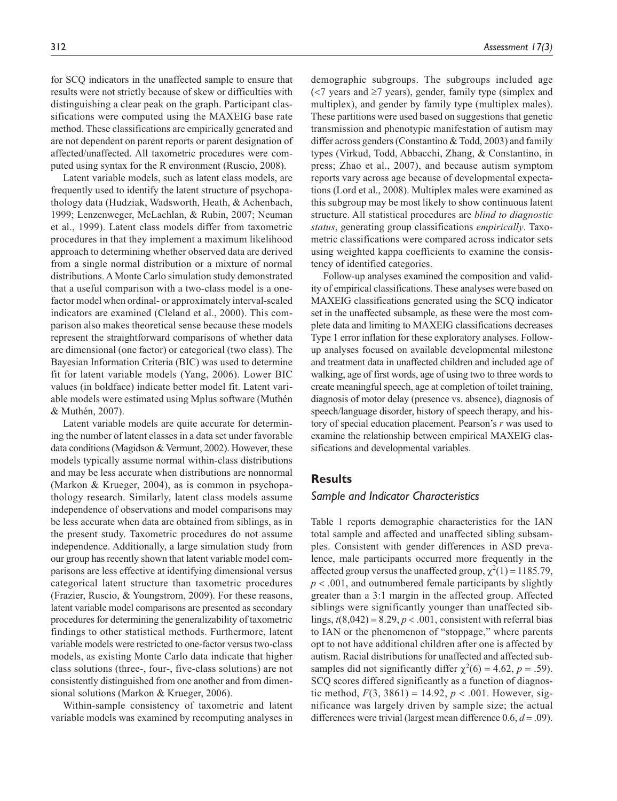for SCQ indicators in the unaffected sample to ensure that results were not strictly because of skew or difficulties with distinguishing a clear peak on the graph. Participant classifications were computed using the MAXEIG base rate method. These classifications are empirically generated and are not dependent on parent reports or parent designation of affected/unaffected. All taxometric procedures were computed using syntax for the R environment (Ruscio, 2008).

Latent variable models, such as latent class models, are frequently used to identify the latent structure of psychopathology data (Hudziak, Wadsworth, Heath, & Achenbach, 1999; Lenzenweger, McLachlan, & Rubin, 2007; Neuman et al., 1999). Latent class models differ from taxometric procedures in that they implement a maximum likelihood approach to determining whether observed data are derived from a single normal distribution or a mixture of normal distributions. A Monte Carlo simulation study demonstrated that a useful comparison with a two-class model is a onefactor model when ordinal- or approximately interval-scaled indicators are examined (Cleland et al., 2000). This comparison also makes theoretical sense because these models represent the straightforward comparisons of whether data are dimensional (one factor) or categorical (two class). The Bayesian Information Criteria (BIC) was used to determine fit for latent variable models (Yang, 2006). Lower BIC values (in boldface) indicate better model fit. Latent variable models were estimated using Mplus software (Muthén & Muthén, 2007).

Latent variable models are quite accurate for determining the number of latent classes in a data set under favorable data conditions (Magidson & Vermunt, 2002). However, these models typically assume normal within-class distributions and may be less accurate when distributions are nonnormal (Markon & Krueger, 2004), as is common in psychopathology research. Similarly, latent class models assume independence of observations and model comparisons may be less accurate when data are obtained from siblings, as in the present study. Taxometric procedures do not assume independence. Additionally, a large simulation study from our group has recently shown that latent variable model comparisons are less effective at identifying dimensional versus categorical latent structure than taxometric procedures (Frazier, Ruscio, & Youngstrom, 2009). For these reasons, latent variable model comparisons are presented as secondary procedures for determining the generalizability of taxometric findings to other statistical methods. Furthermore, latent variable models were restricted to one-factor versus two-class models, as existing Monte Carlo data indicate that higher class solutions (three-, four-, five-class solutions) are not consistently distinguished from one another and from dimensional solutions (Markon & Krueger, 2006).

Within-sample consistency of taxometric and latent variable models was examined by recomputing analyses in demographic subgroups. The subgroups included age  $\left($  <7 years and  $\geq$ 7 years), gender, family type (simplex and multiplex), and gender by family type (multiplex males). These partitions were used based on suggestions that genetic transmission and phenotypic manifestation of autism may differ across genders (Constantino & Todd, 2003) and family types (Virkud, Todd, Abbacchi, Zhang, & Constantino, in press; Zhao et al., 2007), and because autism symptom reports vary across age because of developmental expectations (Lord et al., 2008). Multiplex males were examined as this subgroup may be most likely to show continuous latent structure. All statistical procedures are *blind to diagnostic status*, generating group classifications *empirically*. Taxometric classifications were compared across indicator sets using weighted kappa coefficients to examine the consistency of identified categories.

Follow-up analyses examined the composition and validity of empirical classifications. These analyses were based on MAXEIG classifications generated using the SCQ indicator set in the unaffected subsample, as these were the most complete data and limiting to MAXEIG classifications decreases Type 1 error inflation for these exploratory analyses. Followup analyses focused on available developmental milestone and treatment data in unaffected children and included age of walking, age of first words, age of using two to three words to create meaningful speech, age at completion of toilet training, diagnosis of motor delay (presence vs. absence), diagnosis of speech/language disorder, history of speech therapy, and history of special education placement. Pearson's *r* was used to examine the relationship between empirical MAXEIG classifications and developmental variables.

## **Results**

#### *Sample and Indicator Characteristics*

Table 1 reports demographic characteristics for the IAN total sample and affected and unaffected sibling subsamples. Consistent with gender differences in ASD prevalence, male participants occurred more frequently in the affected group versus the unaffected group,  $\chi^2(1) = 1185.79$ , *p* < .001, and outnumbered female participants by slightly greater than a 3:1 margin in the affected group. Affected siblings were significantly younger than unaffected siblings,  $t(8,042) = 8.29, p < .001$ , consistent with referral bias to IAN or the phenomenon of "stoppage," where parents opt to not have additional children after one is affected by autism. Racial distributions for unaffected and affected subsamples did not significantly differ  $\chi^2(6) = 4.62$ ,  $p = .59$ ). SCQ scores differed significantly as a function of diagnostic method,  $F(3, 3861) = 14.92$ ,  $p < .001$ . However, significance was largely driven by sample size; the actual differences were trivial (largest mean difference 0.6, *d* = .09).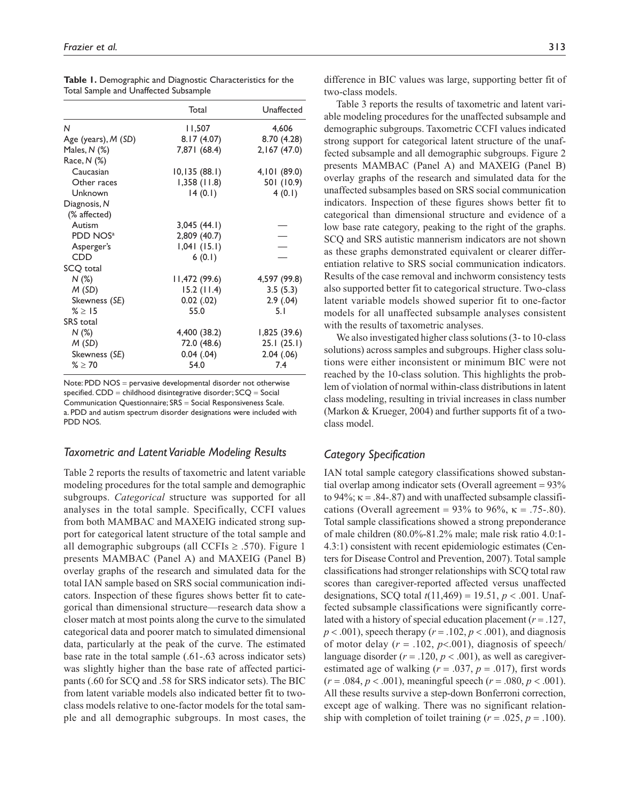|                      | Total          | Unaffected   |  |  |
|----------------------|----------------|--------------|--|--|
| N                    | 11,507         | 4,606        |  |  |
| Age (years), M (SD)  | 8.17 (4.07)    | 8.70 (4.28)  |  |  |
| Males, N (%)         | 7,871 (68.4)   | 2,167(47.0)  |  |  |
| Race, N (%)          |                |              |  |  |
| Caucasian            | 10,135(88.1)   | 4,101 (89.0) |  |  |
| Other races          | 1,358(11.8)    | 501 (10.9)   |  |  |
| Unknown              | 14(0.1)        | 4(0.1)       |  |  |
| Diagnosis, N         |                |              |  |  |
| (% affected)         |                |              |  |  |
| Autism               | 3,045(44.1)    |              |  |  |
| PDD NOS <sup>a</sup> | 2,809 (40.7)   |              |  |  |
| Asperger's           | 1,041(15.1)    |              |  |  |
| <b>CDD</b>           | 6(0.1)         |              |  |  |
| SCQ total            |                |              |  |  |
| N(%)                 | 11,472 (99.6)  | 4,597 (99.8) |  |  |
| M(SD)                | $15.2$ (11.4)  | 3.5(5.3)     |  |  |
| Skewness (SE)        | $0.02$ $(.02)$ | 2.9(0.04)    |  |  |
| $\% \ge 15$          | 55.0           | 5.1          |  |  |
| <b>SRS</b> total     |                |              |  |  |
| N(%)                 | 4,400 (38.2)   | 1,825 (39.6) |  |  |
| M (SD)               | 72.0 (48.6)    | 25.1(25.1)   |  |  |
| Skewness (SE)        | $0.04$ $(.04)$ | 2.04(.06)    |  |  |
| $\% \geq 70$         | 54.0           | 7.4          |  |  |

**Table 1.** Demographic and Diagnostic Characteristics for the Total Sample and Unaffected Subsample

Note: PDD NOS = pervasive developmental disorder not otherwise specified. CDD = childhood disintegrative disorder; SCQ = Social Communication Questionnaire; SRS = Social Responsiveness Scale. a. PDD and autism spectrum disorder designations were included with PDD NOS.

## *Taxometric and Latent Variable Modeling Results*

Table 2 reports the results of taxometric and latent variable modeling procedures for the total sample and demographic subgroups. *Categorical* structure was supported for all analyses in the total sample. Specifically, CCFI values from both MAMBAC and MAXEIG indicated strong support for categorical latent structure of the total sample and all demographic subgroups (all CCFIs  $\geq$  .570). Figure 1 presents MAMBAC (Panel A) and MAXEIG (Panel B) overlay graphs of the research and simulated data for the total IAN sample based on SRS social communication indicators. Inspection of these figures shows better fit to categorical than dimensional structure—research data show a closer match at most points along the curve to the simulated categorical data and poorer match to simulated dimensional data, particularly at the peak of the curve. The estimated base rate in the total sample (.61-.63 across indicator sets) was slightly higher than the base rate of affected participants (.60 for SCQ and .58 for SRS indicator sets). The BIC from latent variable models also indicated better fit to twoclass models relative to one-factor models for the total sample and all demographic subgroups. In most cases, the

difference in BIC values was large, supporting better fit of two-class models.

Table 3 reports the results of taxometric and latent variable modeling procedures for the unaffected subsample and demographic subgroups. Taxometric CCFI values indicated strong support for categorical latent structure of the unaffected subsample and all demographic subgroups. Figure 2 presents MAMBAC (Panel A) and MAXEIG (Panel B) overlay graphs of the research and simulated data for the unaffected subsamples based on SRS social communication indicators. Inspection of these figures shows better fit to categorical than dimensional structure and evidence of a low base rate category, peaking to the right of the graphs. SCQ and SRS autistic mannerism indicators are not shown as these graphs demonstrated equivalent or clearer differentiation relative to SRS social communication indicators. Results of the case removal and inchworm consistency tests also supported better fit to categorical structure. Two-class latent variable models showed superior fit to one-factor models for all unaffected subsample analyses consistent with the results of taxometric analyses.

We also investigated higher class solutions (3- to 10-class solutions) across samples and subgroups. Higher class solutions were either inconsistent or minimum BIC were not reached by the 10-class solution. This highlights the problem of violation of normal within-class distributions in latent class modeling, resulting in trivial increases in class number (Markon & Krueger, 2004) and further supports fit of a twoclass model.

# *Category Specification*

IAN total sample category classifications showed substantial overlap among indicator sets (Overall agreement = 93% to 94%;  $\kappa = .84-.87$ ) and with unaffected subsample classifications (Overall agreement =  $93\%$  to  $96\%$ ,  $\kappa = .75-.80$ ). Total sample classifications showed a strong preponderance of male children (80.0%-81.2% male; male risk ratio 4.0:1- 4.3:1) consistent with recent epidemiologic estimates (Centers for Disease Control and Prevention, 2007). Total sample classifications had stronger relationships with SCQ total raw scores than caregiver-reported affected versus unaffected designations, SCQ total *t*(11,469) = 19.51, *p* < .001. Unaffected subsample classifications were significantly correlated with a history of special education placement (*r* = .127,  $p < .001$ ), speech therapy ( $r = .102$ ,  $p < .001$ ), and diagnosis of motor delay  $(r = .102, p < .001)$ , diagnosis of speech/ language disorder  $(r = .120, p < .001)$ , as well as caregiverestimated age of walking  $(r = .037, p = .017)$ , first words  $(r = .084, p < .001)$ , meaningful speech  $(r = .080, p < .001)$ . All these results survive a step-down Bonferroni correction, except age of walking. There was no significant relationship with completion of toilet training  $(r = .025, p = .100)$ .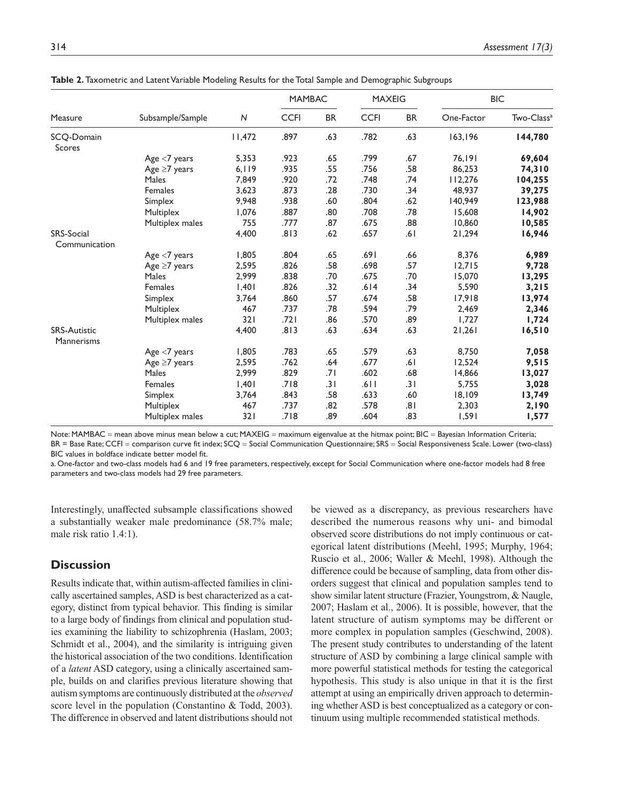| Measure                                  | Subsample/Sample   | N      | <b>MAMBAC</b> |           | <b>MAXEIG</b> |           | <b>BIC</b> |                        |
|------------------------------------------|--------------------|--------|---------------|-----------|---------------|-----------|------------|------------------------|
|                                          |                    |        | <b>CCFI</b>   | <b>BR</b> | <b>CCFI</b>   | <b>BR</b> | One-Factor | Two-Class <sup>a</sup> |
| SCQ-Domain                               |                    | 11,472 | .897          | .63       | .782          | .63       | 163,196    | 144,780                |
| Scores                                   |                    |        |               |           |               |           |            |                        |
|                                          | Age <7 years       | 5,353  | .923          | .65       | .799          | .67       | 76,191     | 69,604                 |
|                                          | Age $\geq$ 7 years | 6,119  | .935          | .55       | .756          | .58       | 86.253     | 74,310                 |
|                                          | Males              | 7,849  | .920          | .72       | .748          | .74       | 112,276    | 104,255                |
|                                          | Females            | 3,623  | .873          | .28       | .730          | .34       | 48.937     | 39,275                 |
|                                          | Simplex            | 9,948  | .938          | .60       | .804          | .62       | 140,949    | 123,988                |
|                                          | Multiplex          | 1,076  | .887          | .80       | .708          | .78       | 15,608     | 14,902                 |
|                                          | Multiplex males    | 755    | .777          | .87       | .675          | .88       | 10,860     | 10,585                 |
| <b>SRS-Social</b><br>Communication       |                    | 4,400  | .813          | .62       | .657          | .61       | 21,294     | 16,946                 |
|                                          | Age $<$ 7 years    | 1,805  | .804          | .65       | .691          | .66       | 8,376      | 6,989                  |
|                                          | Age $\geq$ 7 years | 2,595  | .826          | .58       | .698          | .57       | 12,715     | 9,728                  |
|                                          | Males              | 2,999  | .838          | .70       | .675          | .70       | 15,070     | 13,295                 |
|                                          | Females            | 1,401  | .826          | .32       | .614          | .34       | 5,590      | 3,215                  |
|                                          | Simplex            | 3,764  | .860          | .57       | .674          | .58       | 17,918     | 13,974                 |
|                                          | Multiplex          | 467    | .737          | .78       | .594          | .79       | 2,469      | 2,346                  |
|                                          | Multiplex males    | 321    | .721          | .86       | .570          | .89       | 1.727      | 1,724                  |
| <b>SRS-Autistic</b><br><b>Mannerisms</b> |                    | 4,400  | .813          | .63       | .634          | .63       | 21,261     | 16, 510                |
|                                          | Age <7 years       | 1,805  | .783          | .65       | .579          | .63       | 8,750      | 7,058                  |
|                                          | Age $\geq$ 7 years | 2,595  | .762          | .64       | .677          | .61       | 12,524     | 9,515                  |
|                                          | Males              | 2,999  | .829          | .71       | .602          | .68       | 14,866     | 13,027                 |
|                                          | Females            | 1,401  | .718          | .31       | .611          | .31       | 5,755      | 3,028                  |
|                                          | Simplex            | 3,764  | .843          | .58       | .633          | .60       | 18,109     | 13,749                 |
|                                          | Multiplex          | 467    | .737          | .82       | .578          | .81       | 2,303      | 2,190                  |
|                                          | Multiplex males    | 321    | .718          | .89       | .604          | .83       | 1,591      | 1,577                  |

**Table 2.** Taxometric and Latent Variable Modeling Results for the Total Sample and Demographic Subgroups

Note: MAMBAC = mean above minus mean below a cut; MAXEIG = maximum eigenvalue at the hitmax point; BIC = Bayesian Information Criteria; BR = Base Rate; CCFI = comparison curve fit index; SCQ = Social Communication Questionnaire; SRS = Social Responsiveness Scale. Lower (two-class) BIC values in boldface indicate better model fit.

a. One-factor and two-class models had 6 and 19 free parameters, respectively, except for Social Communication where one-factor models had 8 free parameters and two-class models had 29 free parameters.

Interestingly, unaffected subsample classifications showed a substantially weaker male predominance (58.7% male; male risk ratio 1.4:1).

# **Discussion**

Results indicate that, within autism-affected families in clinically ascertained samples, ASD is best characterized as a category, distinct from typical behavior. This finding is similar to a large body of findings from clinical and population studies examining the liability to schizophrenia (Haslam, 2003; Schmidt et al., 2004), and the similarity is intriguing given the historical association of the two conditions. Identification of a *latent* ASD category, using a clinically ascertained sample, builds on and clarifies previous literature showing that autism symptoms are continuously distributed at the *observed*  score level in the population (Constantino & Todd, 2003). The difference in observed and latent distributions should not be viewed as a discrepancy, as previous researchers have described the numerous reasons why uni- and bimodal observed score distributions do not imply continuous or categorical latent distributions (Meehl, 1995; Murphy, 1964; Ruscio et al., 2006; Waller & Meehl, 1998). Although the difference could be because of sampling, data from other disorders suggest that clinical and population samples tend to show similar latent structure (Frazier, Youngstrom, & Naugle, 2007; Haslam et al., 2006). It is possible, however, that the latent structure of autism symptoms may be different or more complex in population samples (Geschwind, 2008). The present study contributes to understanding of the latent structure of ASD by combining a large clinical sample with more powerful statistical methods for testing the categorical hypothesis. This study is also unique in that it is the first attempt at using an empirically driven approach to determining whether ASD is best conceptualized as a category or continuum using multiple recommended statistical methods.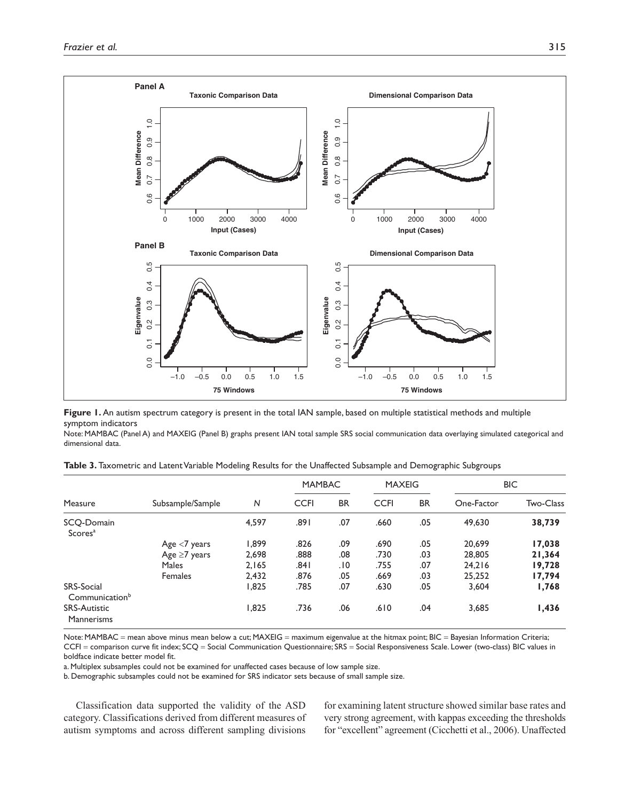



Note: MAMBAC (Panel A) and MAXEIG (Panel B) graphs present IAN total sample SRS social communication data overlaying simulated categorical and dimensional data.

| Table 3. Taxometric and Latent Variable Modeling Results for the Unaffected Subsample and Demographic Subgroups |  |  |
|-----------------------------------------------------------------------------------------------------------------|--|--|
|-----------------------------------------------------------------------------------------------------------------|--|--|

| Measure                                         | Subsample/Sample   | N      | <b>MAMBAC</b> |           | <b>MAXEIG</b> |           | <b>BIC</b> |           |
|-------------------------------------------------|--------------------|--------|---------------|-----------|---------------|-----------|------------|-----------|
|                                                 |                    |        | <b>CCFI</b>   | <b>BR</b> | <b>CCFI</b>   | <b>BR</b> | One-Factor | Two-Class |
| SCQ-Domain<br>Scores <sup>a</sup>               |                    | 4.597  | .891          | .07       | .660          | .05       | 49.630     | 38,739    |
|                                                 | Age $<$ 7 years    | 1.899  | .826          | .09       | .690          | .05       | 20.699     | 17,038    |
|                                                 | Age $\geq$ 7 years | 2,698  | .888          | .08       | .730          | .03       | 28,805     | 21,364    |
|                                                 | Males              | 2,165  | ا 84.         | .10       | .755          | .07       | 24.216     | 19,728    |
|                                                 | <b>Females</b>     | 2,432  | .876          | .05       | .669          | .03       | 25,252     | 17,794    |
| <b>SRS-Social</b><br>Communication <sup>b</sup> |                    | 1.825  | .785          | .07       | .630          | .05       | 3,604      | 1,768     |
| <b>SRS-Autistic</b><br><b>Mannerisms</b>        |                    | 825, ا | .736          | .06       | .610          | .04       | 3.685      | 1,436     |

Note: MAMBAC = mean above minus mean below a cut; MAXEIG = maximum eigenvalue at the hitmax point; BIC = Bayesian Information Criteria; CCFI = comparison curve fit index; SCQ = Social Communication Questionnaire; SRS = Social Responsiveness Scale. Lower (two-class) BIC values in boldface indicate better model fit.

a. Multiplex subsamples could not be examined for unaffected cases because of low sample size.

b. Demographic subsamples could not be examined for SRS indicator sets because of small sample size.

Classification data supported the validity of the ASD category. Classifications derived from different measures of autism symptoms and across different sampling divisions for examining latent structure showed similar base rates and very strong agreement, with kappas exceeding the thresholds for "excellent" agreement (Cicchetti et al., 2006). Unaffected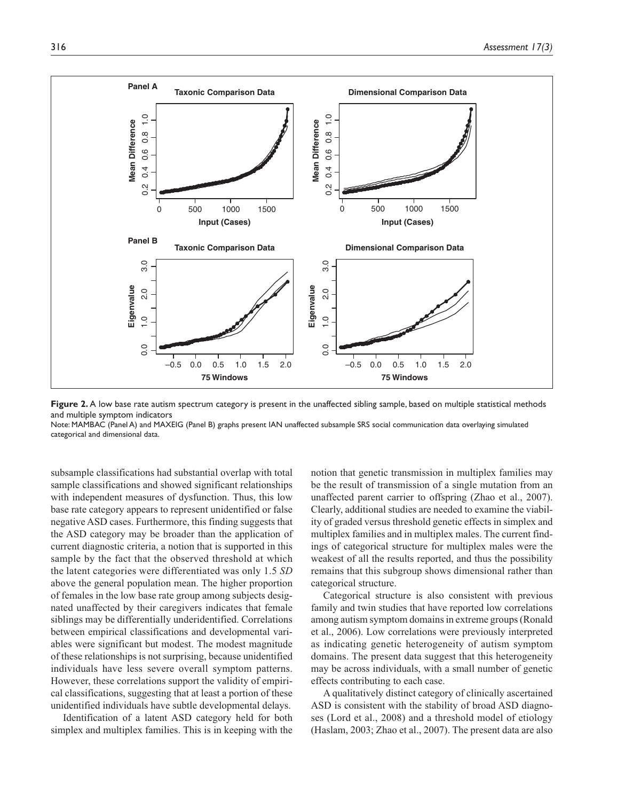

**Figure 2.** A low base rate autism spectrum category is present in the unaffected sibling sample, based on multiple statistical methods and multiple symptom indicators

Note: MAMBAC (Panel A) and MAXEIG (Panel B) graphs present IAN unaffected subsample SRS social communication data overlaying simulated categorical and dimensional data.

subsample classifications had substantial overlap with total sample classifications and showed significant relationships with independent measures of dysfunction. Thus, this low base rate category appears to represent unidentified or false negative ASD cases. Furthermore, this finding suggests that the ASD category may be broader than the application of current diagnostic criteria, a notion that is supported in this sample by the fact that the observed threshold at which the latent categories were differentiated was only 1.5 *SD* above the general population mean. The higher proportion of females in the low base rate group among subjects designated unaffected by their caregivers indicates that female siblings may be differentially underidentified. Correlations between empirical classifications and developmental variables were significant but modest. The modest magnitude of these relationships is not surprising, because unidentified individuals have less severe overall symptom patterns. However, these correlations support the validity of empirical classifications, suggesting that at least a portion of these unidentified individuals have subtle developmental delays.

Identification of a latent ASD category held for both simplex and multiplex families. This is in keeping with the notion that genetic transmission in multiplex families may be the result of transmission of a single mutation from an unaffected parent carrier to offspring (Zhao et al., 2007). Clearly, additional studies are needed to examine the viability of graded versus threshold genetic effects in simplex and multiplex families and in multiplex males. The current findings of categorical structure for multiplex males were the weakest of all the results reported, and thus the possibility remains that this subgroup shows dimensional rather than categorical structure.

Categorical structure is also consistent with previous family and twin studies that have reported low correlations among autism symptom domains in extreme groups (Ronald et al., 2006). Low correlations were previously interpreted as indicating genetic heterogeneity of autism symptom domains. The present data suggest that this heterogeneity may be across individuals, with a small number of genetic effects contributing to each case.

A qualitatively distinct category of clinically ascertained ASD is consistent with the stability of broad ASD diagnoses (Lord et al., 2008) and a threshold model of etiology (Haslam, 2003; Zhao et al., 2007). The present data are also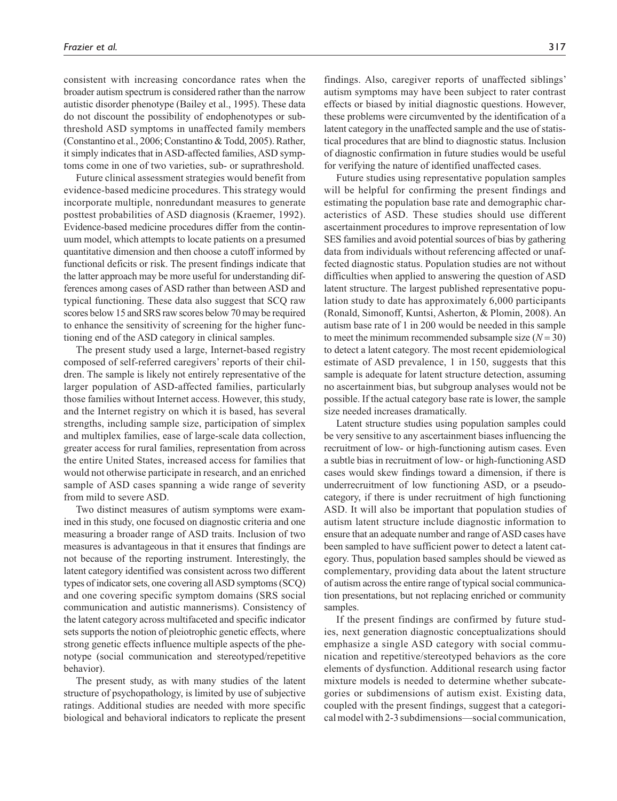consistent with increasing concordance rates when the broader autism spectrum is considered rather than the narrow autistic disorder phenotype (Bailey et al., 1995). These data do not discount the possibility of endophenotypes or subthreshold ASD symptoms in unaffected family members (Constantino et al., 2006; Constantino & Todd, 2005). Rather, it simply indicates that in ASD-affected families, ASD symptoms come in one of two varieties, sub- or suprathreshold.

Future clinical assessment strategies would benefit from evidence-based medicine procedures. This strategy would incorporate multiple, nonredundant measures to generate posttest probabilities of ASD diagnosis (Kraemer, 1992). Evidence-based medicine procedures differ from the continuum model, which attempts to locate patients on a presumed quantitative dimension and then choose a cutoff informed by functional deficits or risk. The present findings indicate that the latter approach may be more useful for understanding differences among cases of ASD rather than between ASD and typical functioning. These data also suggest that SCQ raw scores below 15 and SRS raw scores below 70 may be required to enhance the sensitivity of screening for the higher functioning end of the ASD category in clinical samples.

The present study used a large, Internet-based registry composed of self-referred caregivers' reports of their children. The sample is likely not entirely representative of the larger population of ASD-affected families, particularly those families without Internet access. However, this study, and the Internet registry on which it is based, has several strengths, including sample size, participation of simplex and multiplex families, ease of large-scale data collection, greater access for rural families, representation from across the entire United States, increased access for families that would not otherwise participate in research, and an enriched sample of ASD cases spanning a wide range of severity from mild to severe ASD.

Two distinct measures of autism symptoms were examined in this study, one focused on diagnostic criteria and one measuring a broader range of ASD traits. Inclusion of two measures is advantageous in that it ensures that findings are not because of the reporting instrument. Interestingly, the latent category identified was consistent across two different types of indicator sets, one covering all ASD symptoms (SCQ) and one covering specific symptom domains (SRS social communication and autistic mannerisms). Consistency of the latent category across multifaceted and specific indicator sets supports the notion of pleiotrophic genetic effects, where strong genetic effects influence multiple aspects of the phenotype (social communication and stereotyped/repetitive behavior).

The present study, as with many studies of the latent structure of psychopathology, is limited by use of subjective ratings. Additional studies are needed with more specific biological and behavioral indicators to replicate the present

findings. Also, caregiver reports of unaffected siblings' autism symptoms may have been subject to rater contrast effects or biased by initial diagnostic questions. However, these problems were circumvented by the identification of a latent category in the unaffected sample and the use of statistical procedures that are blind to diagnostic status. Inclusion of diagnostic confirmation in future studies would be useful for verifying the nature of identified unaffected cases.

Future studies using representative population samples will be helpful for confirming the present findings and estimating the population base rate and demographic characteristics of ASD. These studies should use different ascertainment procedures to improve representation of low SES families and avoid potential sources of bias by gathering data from individuals without referencing affected or unaffected diagnostic status. Population studies are not without difficulties when applied to answering the question of ASD latent structure. The largest published representative population study to date has approximately 6,000 participants (Ronald, Simonoff, Kuntsi, Asherton, & Plomin, 2008). An autism base rate of 1 in 200 would be needed in this sample to meet the minimum recommended subsample size  $(N = 30)$ to detect a latent category. The most recent epidemiological estimate of ASD prevalence, 1 in 150, suggests that this sample is adequate for latent structure detection, assuming no ascertainment bias, but subgroup analyses would not be possible. If the actual category base rate is lower, the sample size needed increases dramatically.

Latent structure studies using population samples could be very sensitive to any ascertainment biases influencing the recruitment of low- or high-functioning autism cases. Even a subtle bias in recruitment of low- or high-functioning ASD cases would skew findings toward a dimension, if there is underrecruitment of low functioning ASD, or a pseudocategory, if there is under recruitment of high functioning ASD. It will also be important that population studies of autism latent structure include diagnostic information to ensure that an adequate number and range of ASD cases have been sampled to have sufficient power to detect a latent category. Thus, population based samples should be viewed as complementary, providing data about the latent structure of autism across the entire range of typical social communication presentations, but not replacing enriched or community samples.

If the present findings are confirmed by future studies, next generation diagnostic conceptualizations should emphasize a single ASD category with social communication and repetitive/stereotyped behaviors as the core elements of dysfunction. Additional research using factor mixture models is needed to determine whether subcategories or subdimensions of autism exist. Existing data, coupled with the present findings, suggest that a categorical model with 2-3 subdimensions—social communication,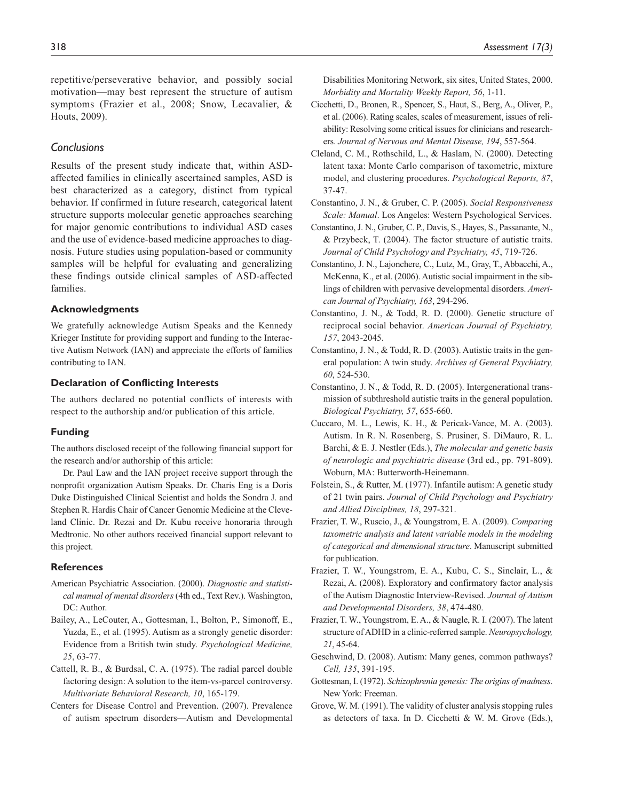repetitive/perseverative behavior, and possibly social motivation—may best represent the structure of autism symptoms (Frazier et al., 2008; Snow, Lecavalier, & Houts, 2009).

# *Conclusions*

Results of the present study indicate that, within ASDaffected families in clinically ascertained samples, ASD is best characterized as a category, distinct from typical behavior. If confirmed in future research, categorical latent structure supports molecular genetic approaches searching for major genomic contributions to individual ASD cases and the use of evidence-based medicine approaches to diagnosis. Future studies using population-based or community samples will be helpful for evaluating and generalizing these findings outside clinical samples of ASD-affected families.

## **Acknowledgments**

We gratefully acknowledge Autism Speaks and the Kennedy Krieger Institute for providing support and funding to the Interactive Autism Network (IAN) and appreciate the efforts of families contributing to IAN.

#### **Declaration of Conflicting Interests**

The authors declared no potential conflicts of interests with respect to the authorship and/or publication of this article.

#### **Funding**

The authors disclosed receipt of the following financial support for the research and/or authorship of this article:

Dr. Paul Law and the IAN project receive support through the nonprofit organization Autism Speaks. Dr. Charis Eng is a Doris Duke Distinguished Clinical Scientist and holds the Sondra J. and Stephen R. Hardis Chair of Cancer Genomic Medicine at the Cleveland Clinic. Dr. Rezai and Dr. Kubu receive honoraria through Medtronic. No other authors received financial support relevant to this project.

#### **References**

- American Psychiatric Association. (2000). *Diagnostic and statistical manual of mental disorders* (4th ed., Text Rev.). Washington, DC: Author.
- Bailey, A., LeCouter, A., Gottesman, I., Bolton, P., Simonoff, E., Yuzda, E., et al. (1995). Autism as a strongly genetic disorder: Evidence from a British twin study. *Psychological Medicine, 25*, 63-77.
- Cattell, R. B., & Burdsal, C. A. (1975). The radial parcel double factoring design: A solution to the item-vs-parcel controversy. *Multivariate Behavioral Research, 10*, 165-179.
- Centers for Disease Control and Prevention. (2007). Prevalence of autism spectrum disorders—Autism and Developmental

Disabilities Monitoring Network, six sites, United States, 2000. *Morbidity and Mortality Weekly Report, 56*, 1-11.

- Cicchetti, D., Bronen, R., Spencer, S., Haut, S., Berg, A., Oliver, P., et al. (2006). Rating scales, scales of measurement, issues of reliability: Resolving some critical issues for clinicians and researchers. *Journal of Nervous and Mental Disease, 194*, 557-564.
- Cleland, C. M., Rothschild, L., & Haslam, N. (2000). Detecting latent taxa: Monte Carlo comparison of taxometric, mixture model, and clustering procedures. *Psychological Reports, 87*, 37-47.
- Constantino, J. N., & Gruber, C. P. (2005). *Social Responsiveness Scale: Manual*. Los Angeles: Western Psychological Services.
- Constantino, J. N., Gruber, C. P., Davis, S., Hayes, S., Passanante, N., & Przybeck, T. (2004). The factor structure of autistic traits. *Journal of Child Psychology and Psychiatry, 45*, 719-726.
- Constantino, J. N., Lajonchere, C., Lutz, M., Gray, T., Abbacchi, A., McKenna, K., et al. (2006). Autistic social impairment in the siblings of children with pervasive developmental disorders. *American Journal of Psychiatry, 163*, 294-296.
- Constantino, J. N., & Todd, R. D. (2000). Genetic structure of reciprocal social behavior. *American Journal of Psychiatry, 157*, 2043-2045.
- Constantino, J. N., & Todd, R. D. (2003). Autistic traits in the general population: A twin study. *Archives of General Psychiatry, 60*, 524-530.
- Constantino, J. N., & Todd, R. D. (2005). Intergenerational transmission of subthreshold autistic traits in the general population. *Biological Psychiatry, 57*, 655-660.
- Cuccaro, M. L., Lewis, K. H., & Pericak-Vance, M. A. (2003). Autism. In R. N. Rosenberg, S. Prusiner, S. DiMauro, R. L. Barchi, & E. J. Nestler (Eds.), *The molecular and genetic basis of neurologic and psychiatric disease* (3rd ed., pp. 791-809). Woburn, MA: Butterworth-Heinemann.
- Folstein, S., & Rutter, M. (1977). Infantile autism: A genetic study of 21 twin pairs. *Journal of Child Psychology and Psychiatry and Allied Disciplines, 18*, 297-321.
- Frazier, T. W., Ruscio, J., & Youngstrom, E. A. (2009). *Comparing taxometric analysis and latent variable models in the modeling of categorical and dimensional structure*. Manuscript submitted for publication.
- Frazier, T. W., Youngstrom, E. A., Kubu, C. S., Sinclair, L., & Rezai, A. (2008). Exploratory and confirmatory factor analysis of the Autism Diagnostic Interview-Revised. *Journal of Autism and Developmental Disorders, 38*, 474-480.
- Frazier, T. W., Youngstrom, E. A., & Naugle, R. I. (2007). The latent structure of ADHD in a clinic-referred sample. *Neuropsychology, 21*, 45-64.
- Geschwind, D. (2008). Autism: Many genes, common pathways? *Cell, 135*, 391-195.
- Gottesman, I. (1972). *Schizophrenia genesis: The origins of madness*. New York: Freeman.
- Grove, W. M. (1991). The validity of cluster analysis stopping rules as detectors of taxa. In D. Cicchetti & W. M. Grove (Eds.),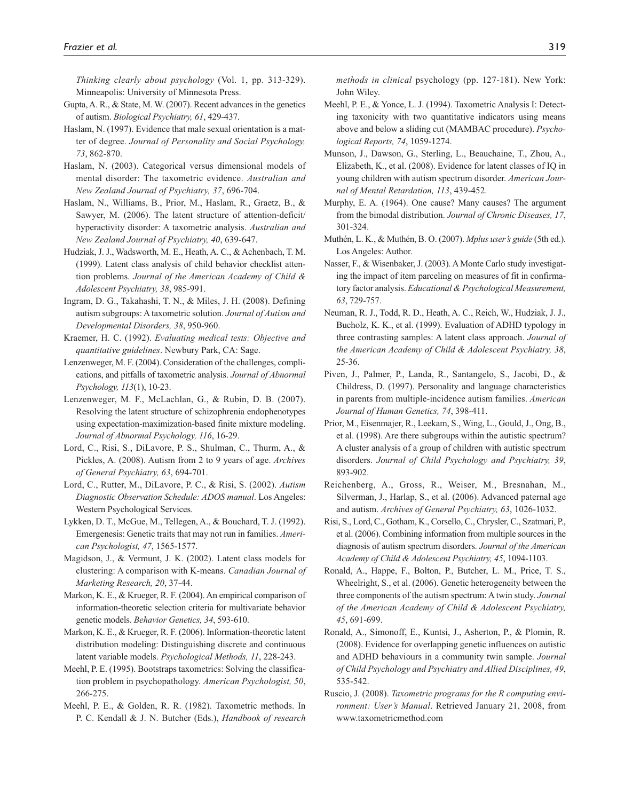*Thinking clearly about psychology* (Vol. 1, pp. 313-329). Minneapolis: University of Minnesota Press.

- Gupta, A. R., & State, M. W. (2007). Recent advances in the genetics of autism. *Biological Psychiatry, 61*, 429-437.
- Haslam, N. (1997). Evidence that male sexual orientation is a matter of degree. *Journal of Personality and Social Psychology, 73*, 862-870.
- Haslam, N. (2003). Categorical versus dimensional models of mental disorder: The taxometric evidence. *Australian and New Zealand Journal of Psychiatry, 37*, 696-704.
- Haslam, N., Williams, B., Prior, M., Haslam, R., Graetz, B., & Sawyer, M. (2006). The latent structure of attention-deficit/ hyperactivity disorder: A taxometric analysis. *Australian and New Zealand Journal of Psychiatry, 40*, 639-647.
- Hudziak, J. J., Wadsworth, M. E., Heath, A. C., & Achenbach, T. M. (1999). Latent class analysis of child behavior checklist attention problems. *Journal of the American Academy of Child & Adolescent Psychiatry, 38*, 985-991.
- Ingram, D. G., Takahashi, T. N., & Miles, J. H. (2008). Defining autism subgroups: A taxometric solution. *Journal of Autism and Developmental Disorders, 38*, 950-960.
- Kraemer, H. C. (1992). *Evaluating medical tests: Objective and quantitative guidelines*. Newbury Park, CA: Sage.
- Lenzenweger, M. F. (2004). Consideration of the challenges, complications, and pitfalls of taxometric analysis. *Journal of Abnormal Psychology, 113*(1), 10-23.
- Lenzenweger, M. F., McLachlan, G., & Rubin, D. B. (2007). Resolving the latent structure of schizophrenia endophenotypes using expectation-maximization-based finite mixture modeling. *Journal of Abnormal Psychology, 116*, 16-29.
- Lord, C., Risi, S., DiLavore, P. S., Shulman, C., Thurm, A., & Pickles, A. (2008). Autism from 2 to 9 years of age. *Archives of General Psychiatry, 63*, 694-701.
- Lord, C., Rutter, M., DiLavore, P. C., & Risi, S. (2002). *Autism Diagnostic Observation Schedule: ADOS manual*. Los Angeles: Western Psychological Services.
- Lykken, D. T., McGue, M., Tellegen, A., & Bouchard, T. J. (1992). Emergenesis: Genetic traits that may not run in families. *American Psychologist, 47*, 1565-1577.
- Magidson, J., & Vermunt, J. K. (2002). Latent class models for clustering: A comparison with K-means. *Canadian Journal of Marketing Research, 20*, 37-44.
- Markon, K. E., & Krueger, R. F. (2004). An empirical comparison of information-theoretic selection criteria for multivariate behavior genetic models. *Behavior Genetics, 34*, 593-610.
- Markon, K. E., & Krueger, R. F. (2006). Information-theoretic latent distribution modeling: Distinguishing discrete and continuous latent variable models. *Psychological Methods, 11*, 228-243.
- Meehl, P. E. (1995). Bootstraps taxometrics: Solving the classification problem in psychopathology. *American Psychologist, 50*, 266-275.
- Meehl, P. E., & Golden, R. R. (1982). Taxometric methods. In P. C. Kendall & J. N. Butcher (Eds.), *Handbook of research*

*methods in clinical* psychology (pp. 127-181). New York: John Wiley.

- Meehl, P. E., & Yonce, L. J. (1994). Taxometric Analysis I: Detecting taxonicity with two quantitative indicators using means above and below a sliding cut (MAMBAC procedure). *Psychological Reports, 74*, 1059-1274.
- Munson, J., Dawson, G., Sterling, L., Beauchaine, T., Zhou, A., Elizabeth, K., et al. (2008). Evidence for latent classes of IQ in young children with autism spectrum disorder. *American Journal of Mental Retardation, 113*, 439-452.
- Murphy, E. A. (1964). One cause? Many causes? The argument from the bimodal distribution. *Journal of Chronic Diseases, 17*, 301-324.
- Muthén, L. K., & Muthén, B. O. (2007). *Mplus user's guide* (5th ed.). Los Angeles: Author.
- Nasser, F., & Wisenbaker, J. (2003). A Monte Carlo study investigating the impact of item parceling on measures of fit in confirmatory factor analysis. *Educational & Psychological Measurement, 63*, 729-757.
- Neuman, R. J., Todd, R. D., Heath, A. C., Reich, W., Hudziak, J. J., Bucholz, K. K., et al. (1999). Evaluation of ADHD typology in three contrasting samples: A latent class approach. *Journal of the American Academy of Child & Adolescent Psychiatry, 38*, 25-36.
- Piven, J., Palmer, P., Landa, R., Santangelo, S., Jacobi, D., & Childress, D. (1997). Personality and language characteristics in parents from multiple-incidence autism families. *American Journal of Human Genetics, 74*, 398-411.
- Prior, M., Eisenmajer, R., Leekam, S., Wing, L., Gould, J., Ong, B., et al. (1998). Are there subgroups within the autistic spectrum? A cluster analysis of a group of children with autistic spectrum disorders. *Journal of Child Psychology and Psychiatry, 39*, 893-902.
- Reichenberg, A., Gross, R., Weiser, M., Bresnahan, M., Silverman, J., Harlap, S., et al. (2006). Advanced paternal age and autism. *Archives of General Psychiatry, 63*, 1026-1032.
- Risi, S., Lord, C., Gotham, K., Corsello, C., Chrysler, C., Szatmari, P., et al. (2006). Combining information from multiple sources in the diagnosis of autism spectrum disorders. *Journal of the American Academy of Child & Adolescent Psychiatry, 45*, 1094-1103.
- Ronald, A., Happe, F., Bolton, P., Butcher, L. M., Price, T. S., Wheelright, S., et al. (2006). Genetic heterogeneity between the three components of the autism spectrum: A twin study. *Journal of the American Academy of Child & Adolescent Psychiatry, 45*, 691-699.
- Ronald, A., Simonoff, E., Kuntsi, J., Asherton, P., & Plomin, R. (2008). Evidence for overlapping genetic influences on autistic and ADHD behaviours in a community twin sample. *Journal of Child Psychology and Psychiatry and Allied Disciplines, 49*, 535-542.
- Ruscio, J. (2008). *Taxometric programs for the R computing environment: User's Manual*. Retrieved January 21, 2008, from www.taxometricmethod.com